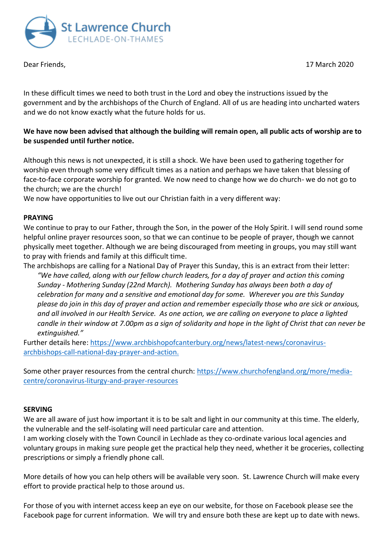



In these difficult times we need to both trust in the Lord and obey the instructions issued by the government and by the archbishops of the Church of England. All of us are heading into uncharted waters and we do not know exactly what the future holds for us.

## **We have now been advised that although the building will remain open, all public acts of worship are to be suspended until further notice.**

Although this news is not unexpected, it is still a shock. We have been used to gathering together for worship even through some very difficult times as a nation and perhaps we have taken that blessing of face-to-face corporate worship for granted. We now need to change how we do church- we do not go to the church; we are the church!

We now have opportunities to live out our Christian faith in a very different way:

## **PRAYING**

We continue to pray to our Father, through the Son, in the power of the Holy Spirit. I will send round some helpful online prayer resources soon, so that we can continue to be people of prayer, though we cannot physically meet together. Although we are being discouraged from meeting in groups, you may still want to pray with friends and family at this difficult time.

The archbishops are calling for a National Day of Prayer this Sunday, this is an extract from their letter: *"We have called, along with our fellow church leaders, for a day of prayer and action this coming Sunday - Mothering Sunday (22nd March). Mothering Sunday has always been both a day of celebration for many and a sensitive and emotional day for some. Wherever you are this Sunday please do join in this day of prayer and action and remember especially those who are sick or anxious, and all involved in our Health Service. As one action, we are calling on everyone to place a lighted candle in their window at 7.00pm as a sign of solidarity and hope in the light of Christ that can never be extinguished."*

Further details here: [https://www.archbishopofcanterbury.org/news/latest-news/coronavirus](https://www.archbishopofcanterbury.org/news/latest-news/coronavirus-archbishops-call-national-day-prayer-and-action)[archbishops-call-national-day-prayer-and-action.](https://www.archbishopofcanterbury.org/news/latest-news/coronavirus-archbishops-call-national-day-prayer-and-action)

Some other prayer resources from the central church: [https://www.churchofengland.org/more/media](https://www.churchofengland.org/more/media-centre/coronavirus-liturgy-and-prayer-resources)[centre/coronavirus-liturgy-and-prayer-resources](https://www.churchofengland.org/more/media-centre/coronavirus-liturgy-and-prayer-resources)

## **SERVING**

We are all aware of just how important it is to be salt and light in our community at this time. The elderly, the vulnerable and the self-isolating will need particular care and attention.

I am working closely with the Town Council in Lechlade as they co-ordinate various local agencies and voluntary groups in making sure people get the practical help they need, whether it be groceries, collecting prescriptions or simply a friendly phone call.

More details of how you can help others will be available very soon. St. Lawrence Church will make every effort to provide practical help to those around us.

For those of you with internet access keep an eye on our website, for those on Facebook please see the Facebook page for current information. We will try and ensure both these are kept up to date with news.